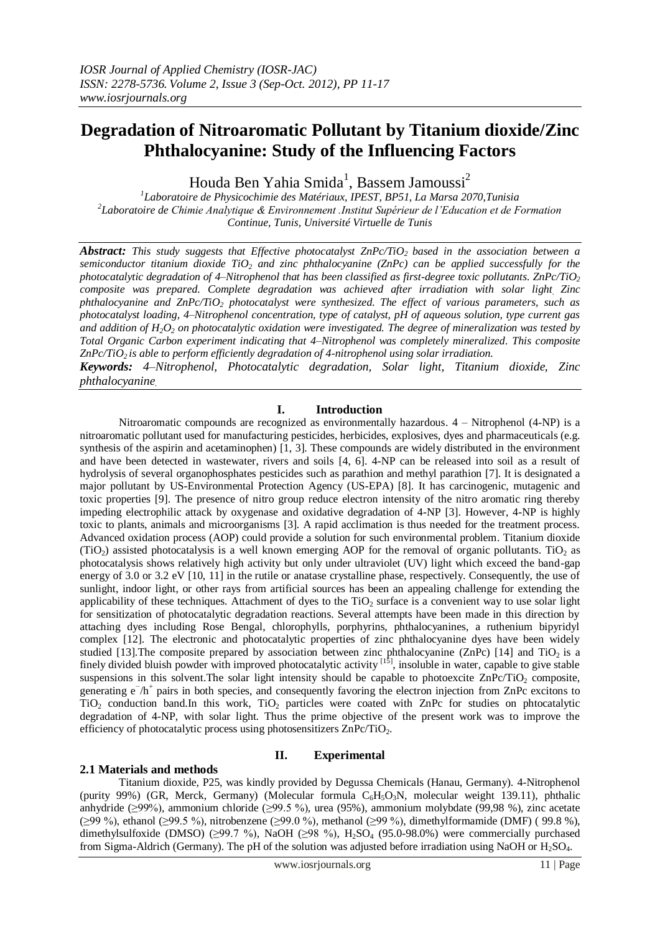# **Degradation of Nitroaromatic Pollutant by Titanium dioxide/Zinc Phthalocyanine: Study of the Influencing Factors**

Houda Ben Yahia Smida<sup>1</sup>, Bassem Jamoussi<sup>2</sup>

*1 Laboratoire de Physicochimie des Matériaux, IPEST, BP51, La Marsa 2070,Tunisia 2 Laboratoire de Chimie Analytique & Environnement .Institut Supérieur de l'Education et de Formation Continue, Tunis, Université Virtuelle de Tunis*

*Abstract: This study suggests that Effective photocatalyst ZnPc/TiO2 based in the association between a semiconductor titanium dioxide TiO<sup>2</sup> and zinc phthalocyanine (ZnPc) can be applied successfully for the photocatalytic degradation of 4–Nitrophenol that has been classified as first-degree toxic pollutants. ZnPc/TiO<sup>2</sup> composite was prepared. Complete degradation was achieved after irradiation with solar light. Zinc phthalocyanine and ZnPc/TiO<sup>2</sup> photocatalyst were synthesized. The effect of various parameters, such as photocatalyst loading, 4–Nitrophenol concentration, type of catalyst, pH of aqueous solution, type current gas and addition of H2O<sup>2</sup> on photocatalytic oxidation were investigated. The degree of mineralization was tested by Total Organic Carbon experiment indicating that 4–Nitrophenol was completely mineralized. This composite ZnPc/TiO2 is able to perform efficiently degradation of 4-nitrophenol using solar irradiation.* 

*Keywords: 4–Nitrophenol, Photocatalytic degradation, Solar light, Titanium dioxide, Zinc phthalocyanine.*

## **I. Introduction**

Nitroaromatic compounds are recognized as environmentally hazardous. 4 – Nitrophenol (4-NP) is a nitroaromatic pollutant used for manufacturing pesticides, herbicides, explosives, dyes and pharmaceuticals (e.g. synthesis of the aspirin and acetaminophen) [1, 3]. These compounds are widely distributed in the environment and have been detected in wastewater, rivers and soils [4, 6]. 4-NP can be released into soil as a result of hydrolysis of several organophosphates pesticides such as parathion and methyl parathion [7]. It is designated a major pollutant by US-Environmental Protection Agency (US-EPA) [8]. It has carcinogenic, mutagenic and toxic properties [9]. The presence of nitro group reduce electron intensity of the nitro aromatic ring thereby impeding electrophilic attack by oxygenase and oxidative degradation of 4-NP [3]. However, 4-NP is highly toxic to plants, animals and microorganisms [3]. A rapid acclimation is thus needed for the treatment process. Advanced oxidation process (AOP) could provide a solution for such environmental problem. Titanium dioxide  $(TiO<sub>2</sub>)$  assisted photocatalysis is a well known emerging AOP for the removal of organic pollutants. TiO<sub>2</sub> as photocatalysis shows relatively high activity but only under ultraviolet (UV) light which exceed the band-gap energy of 3.0 or 3.2 eV [10, 11] in the rutile or anatase crystalline phase, respectively. Consequently, the use of sunlight, indoor light, or other rays from artificial sources has been an appealing challenge for extending the applicability of these techniques. Attachment of dyes to the  $TiO<sub>2</sub>$  surface is a convenient way to use solar light for sensitization of photocatalytic degradation reactions. Several attempts have been made in this direction by attaching dyes including Rose Bengal, chlorophylls, porphyrins, phthalocyanines, a ruthenium bipyridyl complex [12]. The electronic and photocatalytic properties of zinc phthalocyanine dyes have been widely studied [13]. The composite prepared by association between zinc phthalocyanine (ZnPc) [14] and TiO<sub>2</sub> is a finely divided bluish powder with improved photocatalytic activity  $[1\bar{5}]$ , insoluble in water, capable to give stable suspensions in this solvent. The solar light intensity should be capable to photoexcite ZnPc/TiO<sub>2</sub> composite, generating e<sup>−</sup>/h<sup>+</sup> pairs in both species, and consequently favoring the electron injection from ZnPc excitons to  $TiO<sub>2</sub>$  conduction band.In this work,  $TiO<sub>2</sub>$  particles were coated with ZnPc for studies on phtocatalytic degradation of 4-NP, with solar light. Thus the prime objective of the present work was to improve the efficiency of photocatalytic process using photosensitizers  $\text{ZnPc/TiO}_{2}$ .

## **II. Experimental**

## **2.1 Materials and methods**

Titanium dioxide, P25, was kindly provided by Degussa Chemicals (Hanau, Germany). 4-Nitrophenol (purity 99%) (GR, Merck, Germany) (Molecular formula  $C_6H_5O_3N$ , molecular weight 139.11), phthalic anhydride (≥99%), ammonium chloride (≥99.5 %), urea (95%), ammonium molybdate (99,98 %), zinc acetate (≥99 %), ethanol (≥99.5 %), nitrobenzene (≥99.0 %), methanol (≥99 %), dimethylformamide (DMF) ( 99.8 %), dimethylsulfoxide (DMSO) ( $\geq$ 99.7 %), NaOH ( $\geq$ 98 %), H<sub>2</sub>SO<sub>4</sub> (95.0-98.0%) were commercially purchased from Sigma-Aldrich (Germany). The pH of the solution was adjusted before irradiation using NaOH or H<sub>2</sub>SO<sub>4</sub>.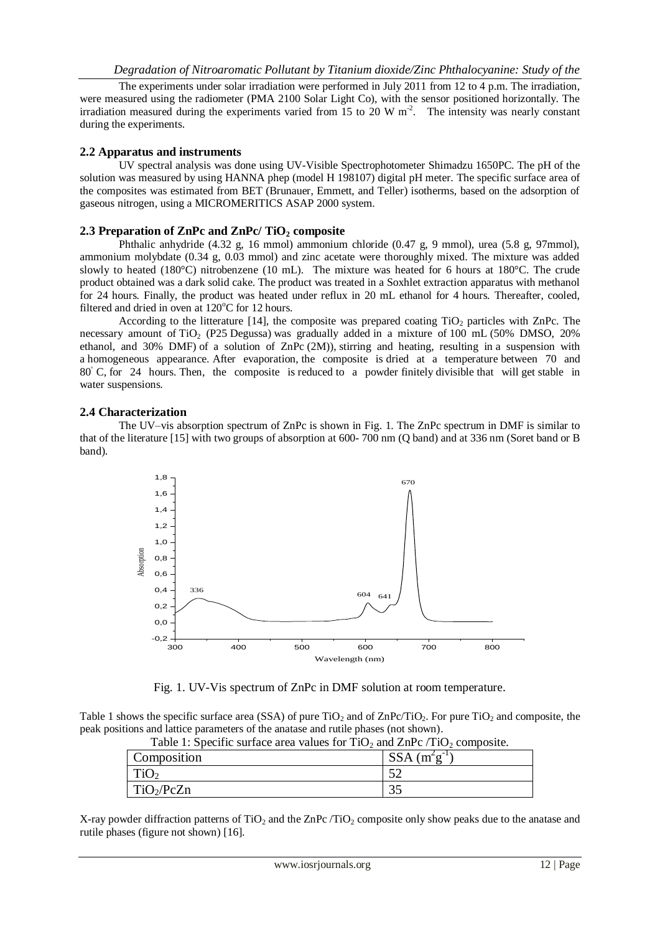The experiments under solar irradiation were performed in July 2011 from 12 to 4 p.m. The irradiation, were measured using the radiometer (PMA 2100 Solar Light Co), with the sensor positioned horizontally. The irradiation measured during the experiments varied from  $15$  to  $20 \text{ W m}^2$ . The intensity was nearly constant during the experiments.

#### **2.2 Apparatus and instruments**

UV spectral analysis was done using UV-Visible Spectrophotometer Shimadzu 1650PC. The pH of the solution was measured by using HANNA phep (model H 198107) digital pH meter. The specific surface area of the composites was estimated from BET (Brunauer, Emmett, and Teller) isotherms, based on the adsorption of gaseous nitrogen, using a MICROMERITICS ASAP 2000 system.

#### **2.3 Preparation of ZnPc and ZnPc/ TiO<sup>2</sup> composite**

Phthalic anhydride (4.32 g, 16 mmol) ammonium chloride (0.47 g, 9 mmol), urea (5.8 g, 97mmol), ammonium molybdate (0.34 g, 0.03 mmol) and zinc acetate were thoroughly mixed. The mixture was added slowly to heated (180°C) nitrobenzene (10 mL). The mixture was heated for 6 hours at 180°C. The crude product obtained was a dark solid cake. The product was treated in a Soxhlet extraction apparatus with methanol for 24 hours. Finally, the product was heated under reflux in 20 mL ethanol for 4 hours. Thereafter, cooled, filtered and dried in oven at  $120^{\circ}$ C for 12 hours.

According to the litterature [14], the composite was prepared coating  $TiO<sub>2</sub>$  particles with ZnPc. The necessary amount of TiO<sub>2</sub> (P25 Degussa) was gradually added in a mixture of 100 mL (50% DMSO, 20% ethanol, and 30% DMF) of a solution of ZnPc (2M)), stirring and heating, resulting in a suspension with a homogeneous appearance. After evaporation, the composite is dried at a temperature between 70 and 80<sup>°</sup> C, for 24 hours. Then, the composite is reduced to a powder finitely divisible that will get stable in water suspensions.

#### **2.4 Characterization**

The UV–vis absorption spectrum of ZnPc is shown in Fig. 1. The ZnPc spectrum in DMF is similar to that of the literature [15] with two groups of absorption at 600- 700 nm (Q band) and at 336 nm (Soret band or B band).



Fig. 1. UV-Vis spectrum of ZnPc in DMF solution at room temperature.

Table 1 shows the specific surface area (SSA) of pure  $TiO<sub>2</sub>$  and of ZnPc/TiO<sub>2</sub>. For pure TiO<sub>2</sub> and composite, the peak positions and lattice parameters of the anatase and rutile phases (not shown).

| Table 1. Specific surface area values for TTO? and $\mathbb{Z}_{11}$ C / TTO? Composite. |              |
|------------------------------------------------------------------------------------------|--------------|
| Composition                                                                              | $SSA(m2g-1)$ |
| TiO <sub>2</sub>                                                                         |              |
| $\Gamma$ iO <sub>2</sub> /PcZn                                                           |              |

Table 1: Specific surface area values for  $TiO<sub>2</sub>$  and  $ZnPc/TiO<sub>2</sub>$  composite.

X-ray powder diffraction patterns of  $TiO<sub>2</sub>$  and the ZnPc /TiO<sub>2</sub> composite only show peaks due to the anatase and rutile phases (figure not shown) [16].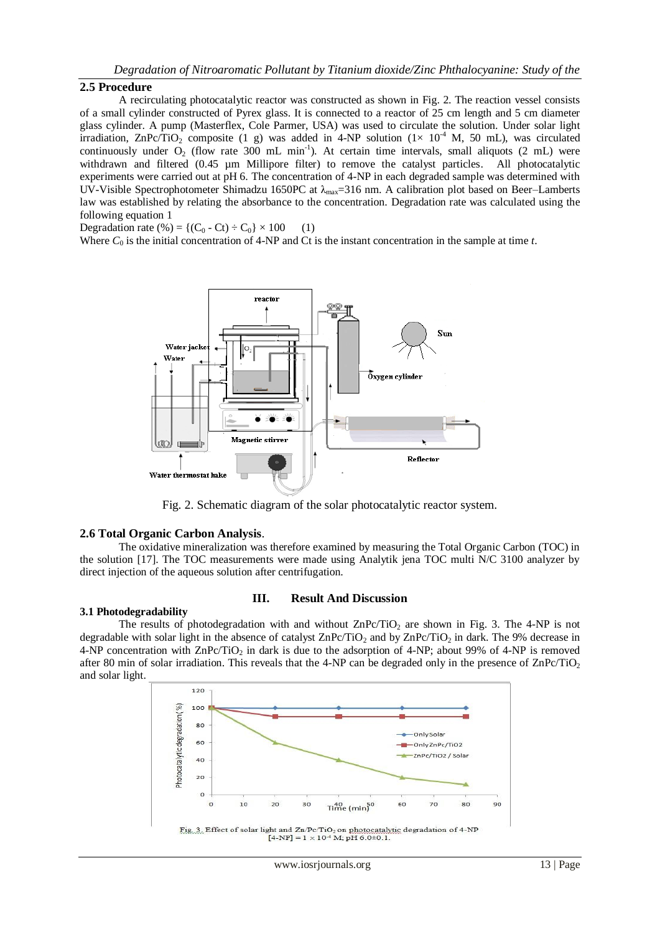## *Degradation of Nitroaromatic Pollutant by Titanium dioxide/Zinc Phthalocyanine: Study of the*

#### **2.5 Procedure**

A recirculating photocatalytic reactor was constructed as shown in Fig. 2. The reaction vessel consists of a small cylinder constructed of Pyrex glass. It is connected to a reactor of 25 cm length and 5 cm diameter glass cylinder. A pump (Masterflex, Cole Parmer, USA) was used to circulate the solution. Under solar light irradiation, ZnPc/TiO<sub>2</sub> composite (1 g) was added in 4-NP solution (1× 10<sup>-4</sup> M, 50 mL), was circulated continuously under  $O_2$  (flow rate 300 mL min<sup>-1</sup>). At certain time intervals, small aliquots (2 mL) were withdrawn and filtered (0.45 µm Millipore filter) to remove the catalyst particles. All photocatalytic experiments were carried out at pH 6. The concentration of 4-NP in each degraded sample was determined with UV-Visible Spectrophotometer Shimadzu 1650PC at  $\lambda_{\text{max}}=316$  nm. A calibration plot based on Beer–Lamberts law was established by relating the absorbance to the concentration. Degradation rate was calculated using the following equation 1

Degradation rate (%) = { $(C_0 - Ct) \div C_0$ } × 100 (1)

Where  $C_0$  is the initial concentration of 4-NP and Ct is the instant concentration in the sample at time *t*.



Fig. 2. Schematic diagram of the solar photocatalytic reactor system.

#### **2.6 Total Organic Carbon Analysis**.

The oxidative mineralization was therefore examined by measuring the Total Organic Carbon (TOC) in the solution [17]. The TOC measurements were made using Analytik jena TOC multi N/C 3100 analyzer by direct injection of the aqueous solution after centrifugation.

#### **3.1 Photodegradability**

#### **III. Result And Discussion**

The results of photodegradation with and without  $\text{ZnPc/TiO}_2$  are shown in Fig. 3. The 4-NP is not degradable with solar light in the absence of catalyst  $\text{ZnPc/TiO}_2$  and by  $\text{ZnPc/TiO}_2$  in dark. The 9% decrease in 4-NP concentration with  $\text{ZnPc/TiO}_2$  in dark is due to the adsorption of 4-NP; about 99% of 4-NP is removed after 80 min of solar irradiation. This reveals that the 4-NP can be degraded only in the presence of  $\text{ZnPc/TiO}_2$ and solar light.

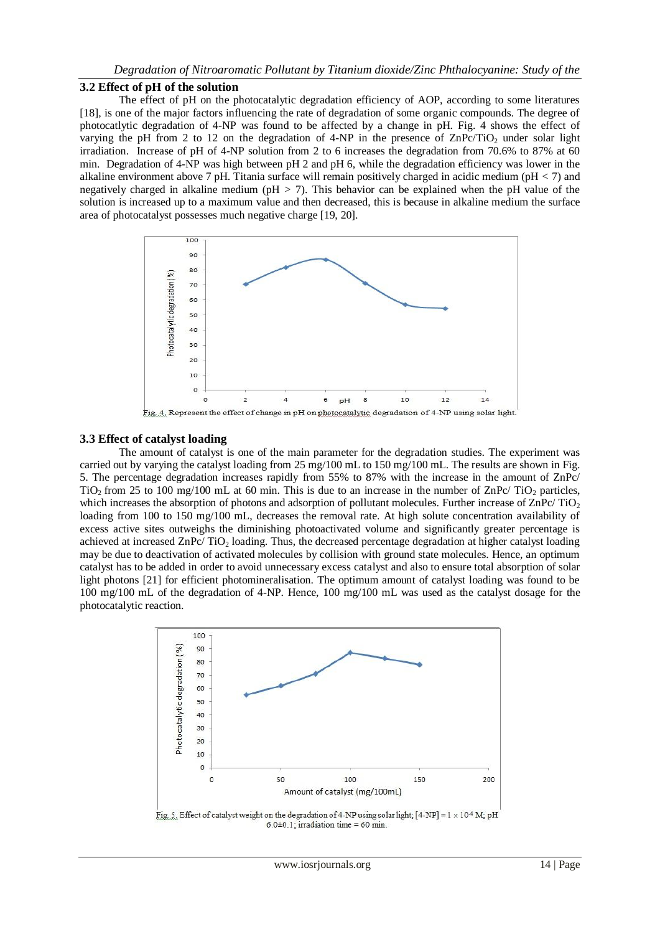## *Degradation of Nitroaromatic Pollutant by Titanium dioxide/Zinc Phthalocyanine: Study of the*

#### **3.2 Effect of pH of the solution**

The effect of pH on the photocatalytic degradation efficiency of AOP, according to some literatures [18], is one of the major factors influencing the rate of degradation of some organic compounds. The degree of photocatlytic degradation of 4-NP was found to be affected by a change in pH. Fig. 4 shows the effect of varying the pH from 2 to 12 on the degradation of 4-NP in the presence of  $\text{ZnPc/TiO}_2$  under solar light irradiation. Increase of pH of 4-NP solution from 2 to 6 increases the degradation from 70.6% to 87% at 60 min. Degradation of 4-NP was high between pH 2 and pH 6, while the degradation efficiency was lower in the alkaline environment above 7 pH. Titania surface will remain positively charged in acidic medium (pH *<* 7) and negatively charged in alkaline medium (pH *>* 7). This behavior can be explained when the pH value of the solution is increased up to a maximum value and then decreased, this is because in alkaline medium the surface area of photocatalyst possesses much negative charge [19, 20].



Fig. 4. Represent the effect of change in pH on photocatalytic degradation of 4-NP using solar light.

## **3.3 Effect of catalyst loading**

The amount of catalyst is one of the main parameter for the degradation studies. The experiment was carried out by varying the catalyst loading from 25 mg/100 mL to 150 mg/100 mL. The results are shown in Fig. 5. The percentage degradation increases rapidly from 55% to 87% with the increase in the amount of ZnPc/  $TiO<sub>2</sub>$  from 25 to 100 mg/100 mL at 60 min. This is due to an increase in the number of ZnPc/ TiO<sub>2</sub> particles, which increases the absorption of photons and adsorption of pollutant molecules. Further increase of  $\text{ZnPc}/\text{TiO}_2$ loading from 100 to 150 mg/100 mL, decreases the removal rate. At high solute concentration availability of excess active sites outweighs the diminishing photoactivated volume and significantly greater percentage is achieved at increased ZnPc/ TiO<sub>2</sub> loading. Thus, the decreased percentage degradation at higher catalyst loading may be due to deactivation of activated molecules by collision with ground state molecules. Hence, an optimum catalyst has to be added in order to avoid unnecessary excess catalyst and also to ensure total absorption of solar light photons [21] for efficient photomineralisation. The optimum amount of catalyst loading was found to be 100 mg/100 mL of the degradation of 4-NP. Hence, 100 mg/100 mL was used as the catalyst dosage for the photocatalytic reaction.



 $6.0\pm0.1$ ; irradiation time = 60 min.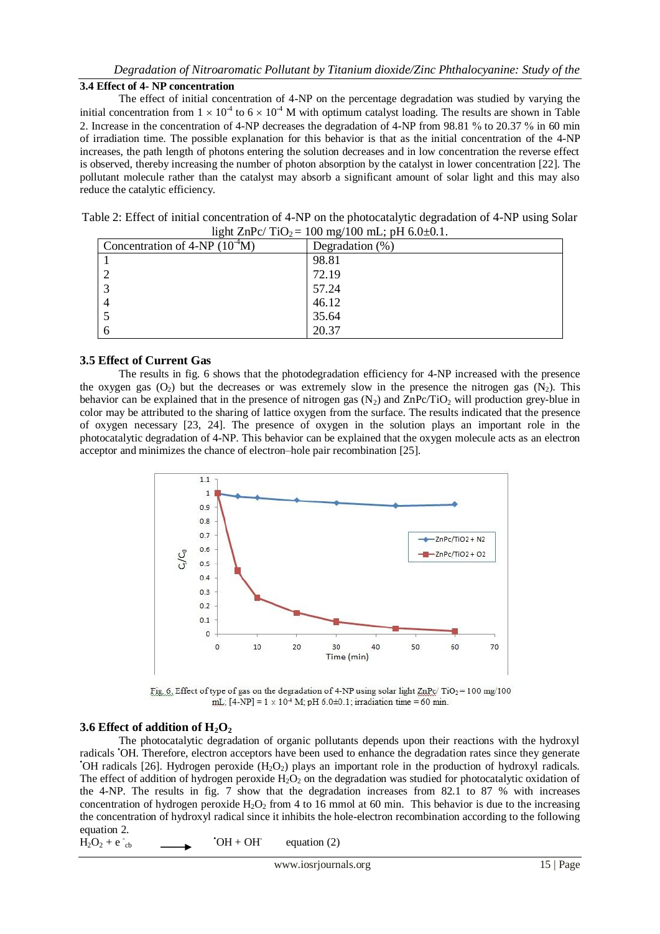## *Degradation of Nitroaromatic Pollutant by Titanium dioxide/Zinc Phthalocyanine: Study of the*

## **3.4 Effect of 4- NP concentration**

The effect of initial concentration of 4-NP on the percentage degradation was studied by varying the initial concentration from  $1 \times 10^{-4}$  to  $6 \times 10^{-4}$  M with optimum catalyst loading. The results are shown in Table 2. Increase in the concentration of 4-NP decreases the degradation of 4-NP from 98.81 % to 20.37 % in 60 min of irradiation time. The possible explanation for this behavior is that as the initial concentration of the 4-NP increases, the path length of photons entering the solution decreases and in low concentration the reverse effect is observed, thereby increasing the number of photon absorption by the catalyst in lower concentration [22]. The pollutant molecule rather than the catalyst may absorb a significant amount of solar light and this may also reduce the catalytic efficiency.

| Table 2: Effect of initial concentration of 4-NP on the photocatalytic degradation of 4-NP using Solar |  |
|--------------------------------------------------------------------------------------------------------|--|
| light $\text{ZnPc}/\text{TiO}_2 = 100 \text{ mg}/100 \text{ mL}$ ; pH 6.0±0.1.                         |  |

| ັ<br>Concentration of $4-NP(10^4M)$ | Degradation $(\%)$ |
|-------------------------------------|--------------------|
|                                     | 98.81              |
|                                     | 72.19              |
|                                     | 57.24              |
|                                     | 46.12              |
|                                     | 35.64              |
|                                     | 20.37              |

## **3.5 Effect of Current Gas**

The results in fig. 6 shows that the photodegradation efficiency for 4-NP increased with the presence the oxygen gas  $(O_2)$  but the decreases or was extremely slow in the presence the nitrogen gas  $(N_2)$ . This behavior can be explained that in the presence of nitrogen gas  $(N_2)$  and  $ZnPc/TiO_2$  will production grey-blue in color may be attributed to the sharing of lattice oxygen from the surface. The results indicated that the presence of oxygen necessary [23, 24]. The presence of oxygen in the solution plays an important role in the photocatalytic degradation of 4-NP. This behavior can be explained that the oxygen molecule acts as an electron acceptor and minimizes the chance of electron–hole pair recombination [25].



Fig. 6. Effect of type of gas on the degradation of 4-NP using solar light  $\text{ZnPc}/\text{TiO}_2$  = 100 mg/100 mL;  $[4-NP] = 1 \times 10^4$  M; pH 6.0±0.1; irradiation time = 60 min.

## **3.6 Effect of addition of H2O<sup>2</sup>**

The photocatalytic degradation of organic pollutants depends upon their reactions with the hydroxyl radicals •OH. Therefore, electron acceptors have been used to enhance the degradation rates since they generate  $\cdot$ OH radicals [26]. Hydrogen peroxide (H<sub>2</sub>O<sub>2</sub>) plays an important role in the production of hydroxyl radicals. The effect of addition of hydrogen peroxide  $H_2O_2$  on the degradation was studied for photocatalytic oxidation of the 4-NP. The results in fig. 7 show that the degradation increases from 82.1 to 87 % with increases concentration of hydrogen peroxide  $H_2O_2$  from 4 to 16 mmol at 60 min. This behavior is due to the increasing the concentration of hydroxyl radical since it inhibits the hole-electron recombination according to the following equation 2.

 $\overline{H}_2O_2 + e^-_{cb}$ •OH + OH- equation (2)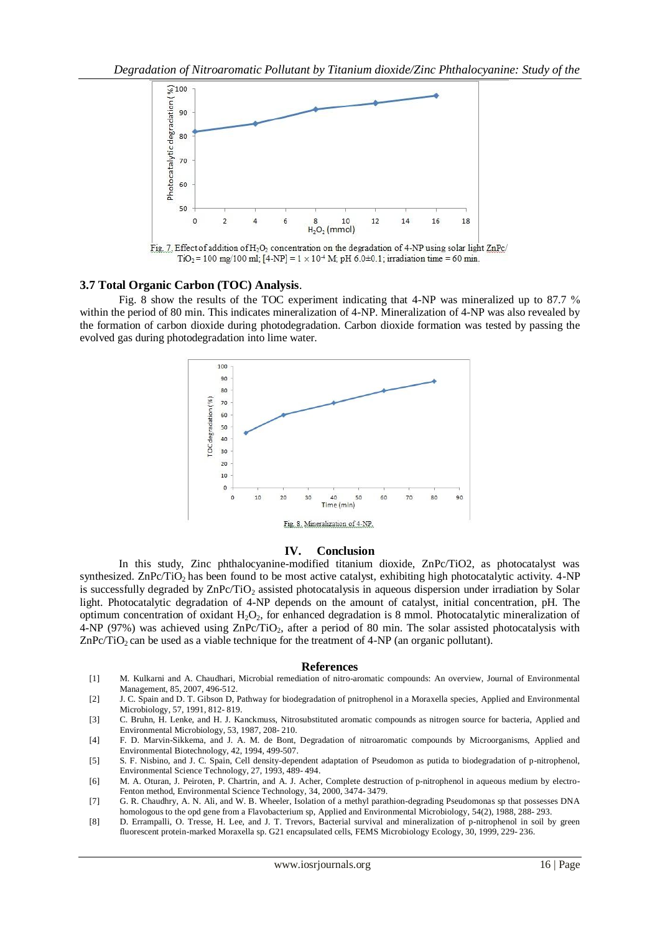

Fig. 7. Effect of addition of H<sub>2</sub>O<sub>2</sub> concentration on the degradation of 4-NP using solar light ZnPc/ TiO<sub>2</sub> = 100 mg/100 ml; [4-NP] =  $1 \times 10^4$  M; pH 6.0±0.1; irradiation time = 60 min.

#### **3.7 Total Organic Carbon (TOC) Analysis**.

Fig. 8 show the results of the TOC experiment indicating that 4-NP was mineralized up to 87.7 % within the period of 80 min. This indicates mineralization of 4-NP. Mineralization of 4-NP was also revealed by the formation of carbon dioxide during photodegradation. Carbon dioxide formation was tested by passing the evolved gas during photodegradation into lime water.



#### **IV. Conclusion**

In this study, Zinc phthalocyanine-modified titanium dioxide, ZnPc/TiO2, as photocatalyst was synthesized. ZnPc/TiO<sub>2</sub> has been found to be most active catalyst, exhibiting high photocatalytic activity. 4-NP is successfully degraded by  $\text{ZnPc/TiO}_2$  assisted photocatalysis in aqueous dispersion under irradiation by Solar light. Photocatalytic degradation of 4-NP depends on the amount of catalyst, initial concentration, pH. The optimum concentration of oxidant  $H_2O_2$ , for enhanced degradation is 8 mmol. Photocatalytic mineralization of 4-NP (97%) was achieved using  $\text{ZnPc/TiO}_2$ , after a period of 80 min. The solar assisted photocatalysis with  $ZnPc/TiO<sub>2</sub>$  can be used as a viable technique for the treatment of 4-NP (an organic pollutant).

#### **References**

- [1] M. Kulkarni and A. Chaudhari, Microbial remediation of nitro-aromatic compounds: An overview, Journal of Environmental Management, 85, 2007, 496-512.
- [2] J. C. Spain and D. T. Gibson D, Pathway for biodegradation of pnitrophenol in a Moraxella species, Applied and Environmental Microbiology, 57, 1991, 812- 819.
- [3] C. Bruhn, H. Lenke, and H. J. Kanckmuss, Nitrosubstituted aromatic compounds as nitrogen source for bacteria, Applied and Environmental Microbiology, 53, 1987, 208- 210.
- [4] F. D. Marvin-Sikkema, and J. A. M. de Bont, Degradation of nitroaromatic compounds by Microorganisms, Applied and Environmental Biotechnology, 42, 1994, 499-507.
- [5] S. F. Nisbino, and J. C. Spain, Cell density-dependent adaptation of Pseudomon as putida to biodegradation of p-nitrophenol, Environmental Science Technology, 27, 1993, 489- 494.
- [6] M. A. Oturan, J. Peiroten, P. Chartrin, and A. J. Acher, Complete destruction of p-nitrophenol in aqueous medium by electro-Fenton method, Environmental Science Technology, 34, 2000, 3474- 3479.
- [7] G. R. Chaudhry, A. N. Ali, and W. B. Wheeler, Isolation of a methyl parathion-degrading Pseudomonas sp that possesses DNA homologous to the opd gene from a Flavobacterium sp, Applied and Environmental Microbiology, 54(2), 1988, 288- 293.
- [8] D. Errampalli, O. Tresse, H. Lee, and J. T. Trevors, Bacterial survival and mineralization of p-nitrophenol in soil by green fluorescent protein-marked Moraxella sp. G21 encapsulated cells, FEMS Microbiology Ecology, 30, 1999, 229- 236.